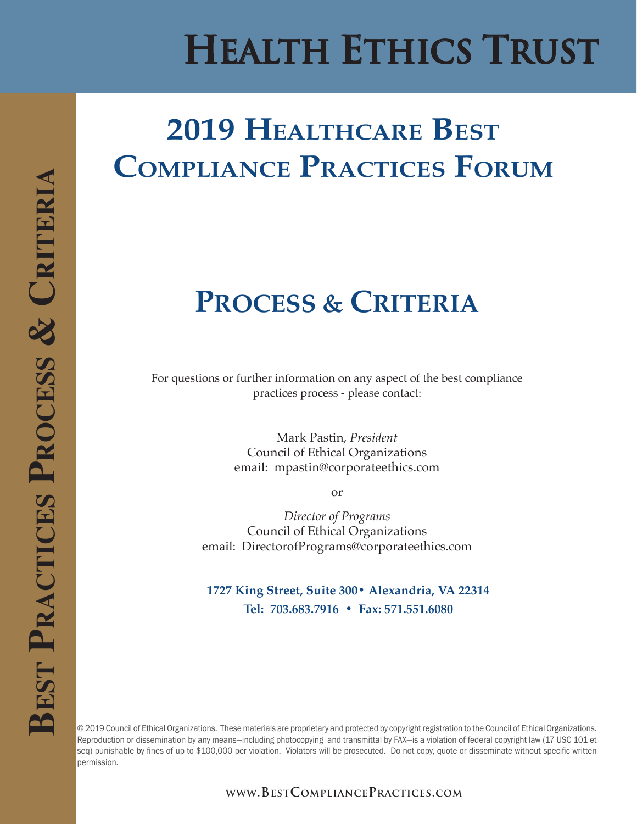### **2019 Healthcare Best Compliance Practices Forum**

### **PROCESS & CRITERIA**

For questions or further information on any aspect of the best compliance practices process - please contact:

> Mark Pastin, *President* Council of Ethical Organizations email: mpastin@corporateethics.com

> > or

*Director of Programs* Council of Ethical Organizations email: DirectorofPrograms@corporateethics.com

**1727 King Street, Suite 300• Alexandria, VA 22314 Tel: 703.683.7916 • Fax: 571.551.6080** 

© 2019 Council of Ethical Organizations. These materials are proprietary and protected by copyright registration to the Council of Ethical Organizations. Reproduction or dissemination by any means—including photocopying and transmittal by FAX—is a violation of federal copyright law (17 USC 101 et seq) punishable by fines of up to \$100,000 per violation. Violators will be prosecuted. Do not copy, quote or disseminate without specific written permission.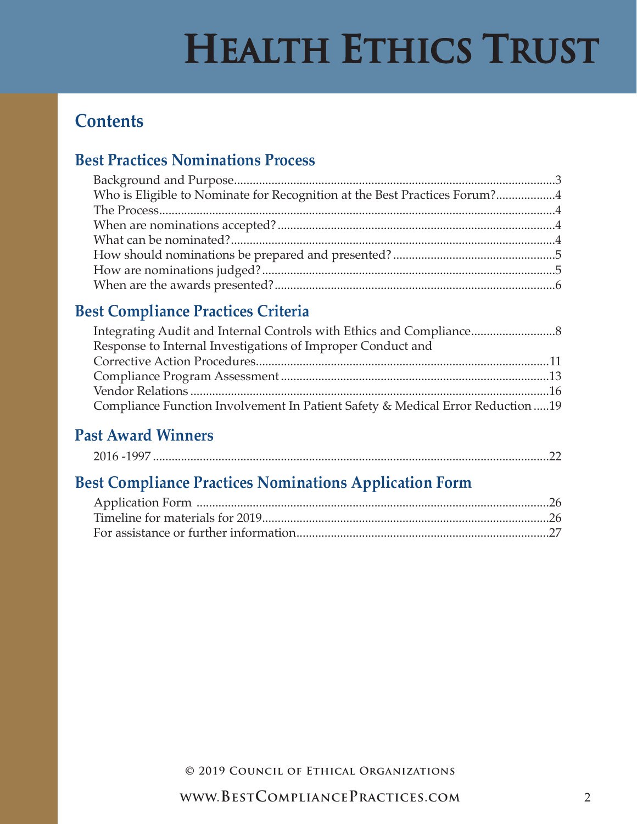### **Contents**

### **Best Practices Nominations Process**

| Who is Eligible to Nominate for Recognition at the Best Practices Forum?4 |  |
|---------------------------------------------------------------------------|--|
|                                                                           |  |
|                                                                           |  |
|                                                                           |  |
|                                                                           |  |
|                                                                           |  |
|                                                                           |  |
|                                                                           |  |

### **Best Compliance Practices Criteria**

| Integrating Audit and Internal Controls with Ethics and Compliance              |  |
|---------------------------------------------------------------------------------|--|
| Response to Internal Investigations of Improper Conduct and                     |  |
|                                                                                 |  |
|                                                                                 |  |
|                                                                                 |  |
| Compliance Function Involvement In Patient Safety & Medical Error Reduction  19 |  |

### **Past Award Winners**

| 001 |  |
|-----|--|
|-----|--|

### **Best Compliance Practices Nominations Application Form**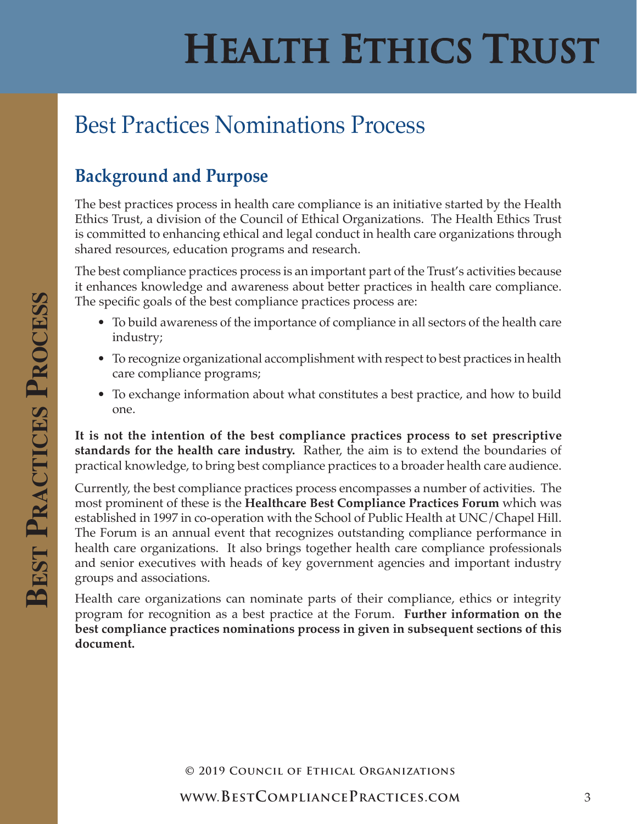### Best Practices Nominations Process

### **Background and Purpose**

The best practices process in health care compliance is an initiative started by the Health Ethics Trust, a division of the Council of Ethical Organizations. The Health Ethics Trust is committed to enhancing ethical and legal conduct in health care organizations through shared resources, education programs and research.

The best compliance practices process is an important part of the Trust's activities because it enhances knowledge and awareness about better practices in health care compliance. The specific goals of the best compliance practices process are:

- To build awareness of the importance of compliance in all sectors of the health care industry;
- To recognize organizational accomplishment with respect to best practices in health care compliance programs;
- To exchange information about what constitutes a best practice, and how to build one.

**It is not the intention of the best compliance practices process to set prescriptive standards for the health care industry.** Rather, the aim is to extend the boundaries of practical knowledge, to bring best compliance practices to a broader health care audience.

Currently, the best compliance practices process encompasses a number of activities. The most prominent of these is the **Healthcare Best Compliance Practices Forum** which was established in 1997 in co-operation with the School of Public Health at UNC/Chapel Hill. The Forum is an annual event that recognizes outstanding compliance performance in health care organizations. It also brings together health care compliance professionals and senior executives with heads of key government agencies and important industry groups and associations.

Health care organizations can nominate parts of their compliance, ethics or integrity program for recognition as a best practice at the Forum. **Further information on the best compliance practices nominations process in given in subsequent sections of this document.**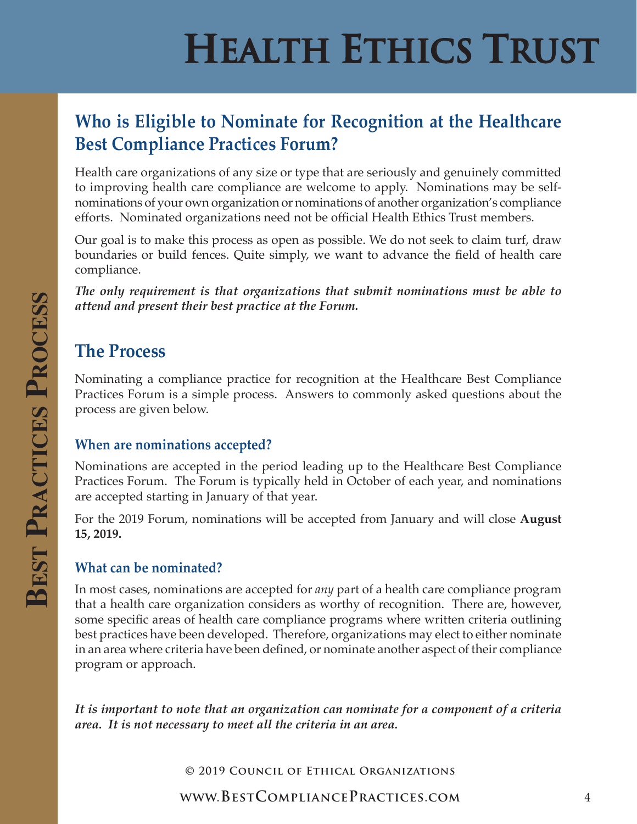### **Who is Eligible to Nominate for Recognition at the Healthcare Best Compliance Practices Forum?**

Health care organizations of any size or type that are seriously and genuinely committed to improving health care compliance are welcome to apply. Nominations may be selfnominations of your own organization or nominations of another organization's compliance efforts. Nominated organizations need not be official Health Ethics Trust members.

Our goal is to make this process as open as possible. We do not seek to claim turf, draw boundaries or build fences. Quite simply, we want to advance the field of health care compliance.

*The only requirement is that organizations that submit nominations must be able to attend and present their best practice at the Forum.* 

### **The Process**

Nominating a compliance practice for recognition at the Healthcare Best Compliance Practices Forum is a simple process. Answers to commonly asked questions about the process are given below.

#### **When are nominations accepted?**

Nominations are accepted in the period leading up to the Healthcare Best Compliance Practices Forum. The Forum is typically held in October of each year, and nominations are accepted starting in January of that year.

For the 2019 Forum, nominations will be accepted from January and will close **August 15, 2019.** 

#### **What can be nominated?**

In most cases, nominations are accepted for *any* part of a health care compliance program that a health care organization considers as worthy of recognition. There are, however, some specific areas of health care compliance programs where written criteria outlining best practices have been developed. Therefore, organizations may elect to either nominate in an area where criteria have been defined, or nominate another aspect of their compliance program or approach.

*It is important to note that an organization can nominate for a component of a criteria area. It is not necessary to meet all the criteria in an area.* 

**© 2019 Council of Ethical Organizations**

4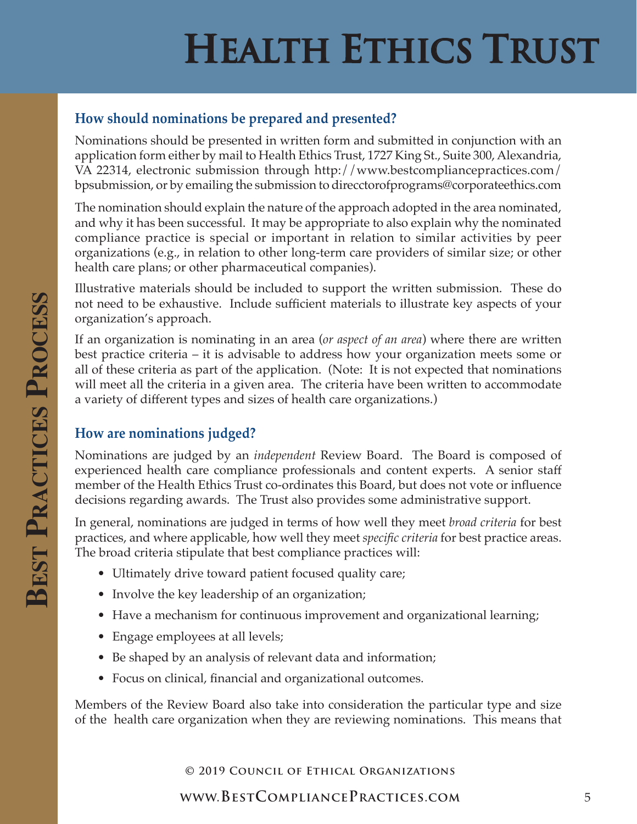#### **How should nominations be prepared and presented?**

Nominations should be presented in written form and submitted in conjunction with an application form either by mail to Health Ethics Trust, 1727 King St., Suite 300, Alexandria, VA 22314, electronic submission through http://www.bestcompliancepractices.com/ bpsubmission, or by emailing the submission to direcctorofprograms@corporateethics.com

The nomination should explain the nature of the approach adopted in the area nominated, and why it has been successful. It may be appropriate to also explain why the nominated compliance practice is special or important in relation to similar activities by peer organizations (e.g., in relation to other long-term care providers of similar size; or other health care plans; or other pharmaceutical companies).

Illustrative materials should be included to support the written submission. These do not need to be exhaustive. Include sufficient materials to illustrate key aspects of your organization's approach.

If an organization is nominating in an area (*or aspect of an area*) where there are written best practice criteria – it is advisable to address how your organization meets some or all of these criteria as part of the application. (Note: It is not expected that nominations will meet all the criteria in a given area. The criteria have been written to accommodate a variety of different types and sizes of health care organizations.)

#### **How are nominations judged?**

Nominations are judged by an *independent* Review Board. The Board is composed of experienced health care compliance professionals and content experts. A senior staff member of the Health Ethics Trust co-ordinates this Board, but does not vote or influence decisions regarding awards. The Trust also provides some administrative support.

In general, nominations are judged in terms of how well they meet *broad criteria* for best practices, and where applicable, how well they meet *specific criteria* for best practice areas. The broad criteria stipulate that best compliance practices will:

- Ultimately drive toward patient focused quality care;
- Involve the key leadership of an organization;
- Have a mechanism for continuous improvement and organizational learning;
- Engage employees at all levels;
- Be shaped by an analysis of relevant data and information;
- Focus on clinical, financial and organizational outcomes.

Members of the Review Board also take into consideration the particular type and size of the health care organization when they are reviewing nominations. This means that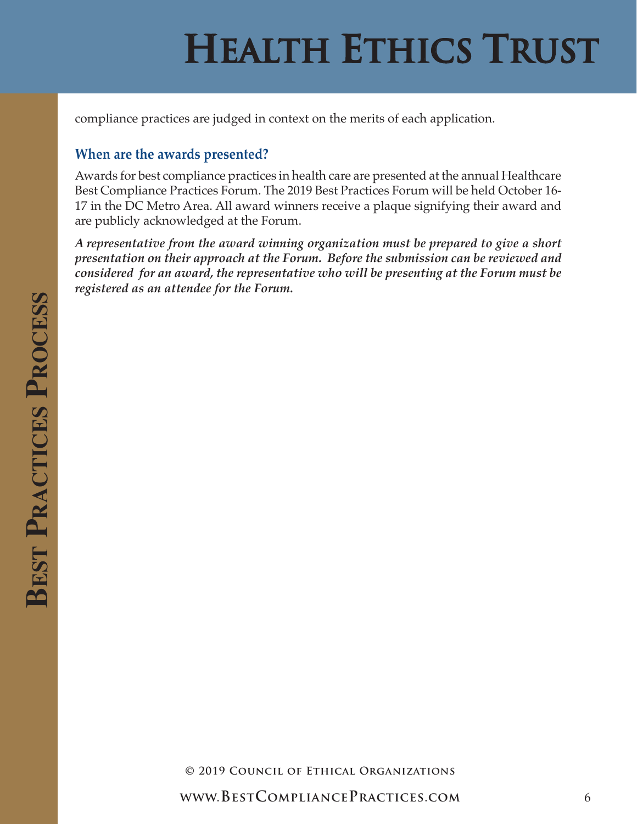compliance practices are judged in context on the merits of each application.

#### **When are the awards presented?**

Awards for best compliance practices in health care are presented at the annual Healthcare Best Compliance Practices Forum. The 2019 Best Practices Forum will be held October 16- 17 in the DC Metro Area. All award winners receive a plaque signifying their award and are publicly acknowledged at the Forum.

*A representative from the award winning organization must be prepared to give a short presentation on their approach at the Forum. Before the submission can be reviewed and considered for an award, the representative who will be presenting at the Forum must be registered as an attendee for the Forum.*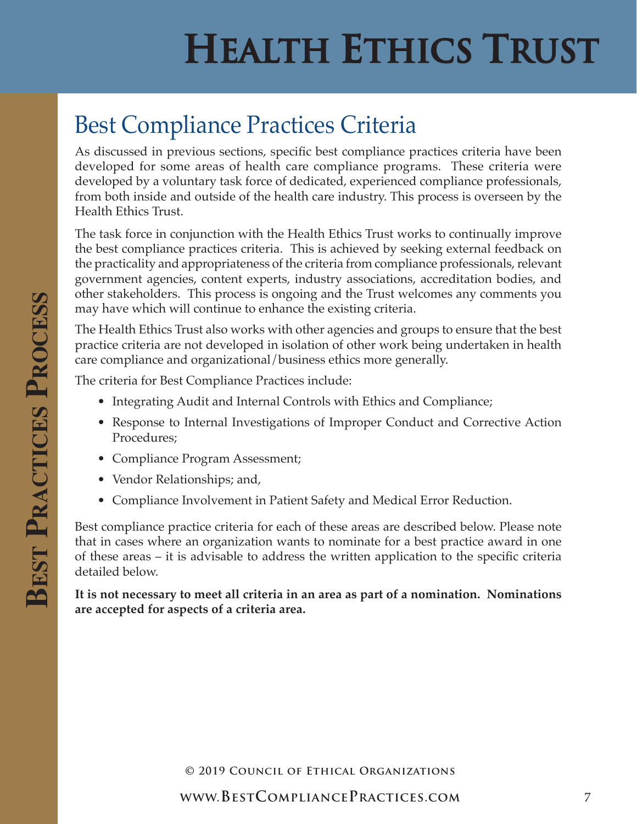### Best Compliance Practices Criteria

As discussed in previous sections, specific best compliance practices criteria have been developed for some areas of health care compliance programs. These criteria were developed by a voluntary task force of dedicated, experienced compliance professionals, from both inside and outside of the health care industry. This process is overseen by the Health Ethics Trust.

The task force in conjunction with the Health Ethics Trust works to continually improve the best compliance practices criteria. This is achieved by seeking external feedback on the practicality and appropriateness of the criteria from compliance professionals, relevant government agencies, content experts, industry associations, accreditation bodies, and other stakeholders. This process is ongoing and the Trust welcomes any comments you may have which will continue to enhance the existing criteria.

The Health Ethics Trust also works with other agencies and groups to ensure that the best practice criteria are not developed in isolation of other work being undertaken in health care compliance and organizational/business ethics more generally.

The criteria for Best Compliance Practices include:

- Integrating Audit and Internal Controls with Ethics and Compliance;
- Response to Internal Investigations of Improper Conduct and Corrective Action Procedures;
- Compliance Program Assessment;
- Vendor Relationships; and,
- Compliance Involvement in Patient Safety and Medical Error Reduction.

Best compliance practice criteria for each of these areas are described below. Please note that in cases where an organization wants to nominate for a best practice award in one of these areas – it is advisable to address the written application to the specific criteria detailed below.

**It is not necessary to meet all criteria in an area as part of a nomination. Nominations are accepted for aspects of a criteria area.**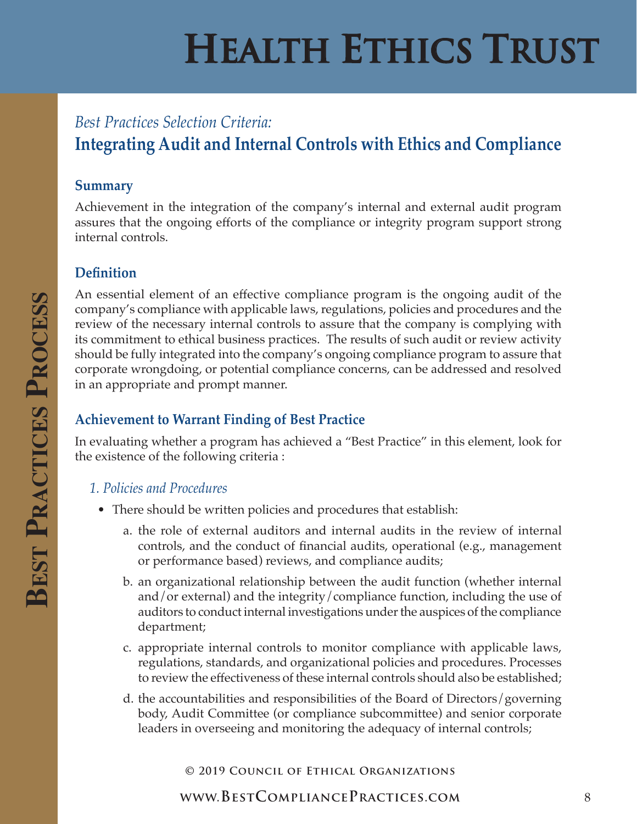### *Best Practices Selection Criteria:*

### **Integrating Audit and Internal Controls with Ethics and Compliance**

#### **Summary**

Achievement in the integration of the company's internal and external audit program assures that the ongoing efforts of the compliance or integrity program support strong internal controls.

#### **Definition**

An essential element of an effective compliance program is the ongoing audit of the company's compliance with applicable laws, regulations, policies and procedures and the review of the necessary internal controls to assure that the company is complying with its commitment to ethical business practices. The results of such audit or review activity should be fully integrated into the company's ongoing compliance program to assure that corporate wrongdoing, or potential compliance concerns, can be addressed and resolved in an appropriate and prompt manner.

#### **Achievement to Warrant Finding of Best Practice**

In evaluating whether a program has achieved a "Best Practice" in this element, look for the existence of the following criteria :

#### *1. Policies and Procedures*

- There should be written policies and procedures that establish:
	- a. the role of external auditors and internal audits in the review of internal controls, and the conduct of financial audits, operational (e.g., management or performance based) reviews, and compliance audits;
	- b. an organizational relationship between the audit function (whether internal and/or external) and the integrity/compliance function, including the use of auditors to conduct internal investigations under the auspices of the compliance department;
	- c. appropriate internal controls to monitor compliance with applicable laws, regulations, standards, and organizational policies and procedures. Processes to review the effectiveness of these internal controls should also be established;
	- d. the accountabilities and responsibilities of the Board of Directors/governing body, Audit Committee (or compliance subcommittee) and senior corporate leaders in overseeing and monitoring the adequacy of internal controls;

8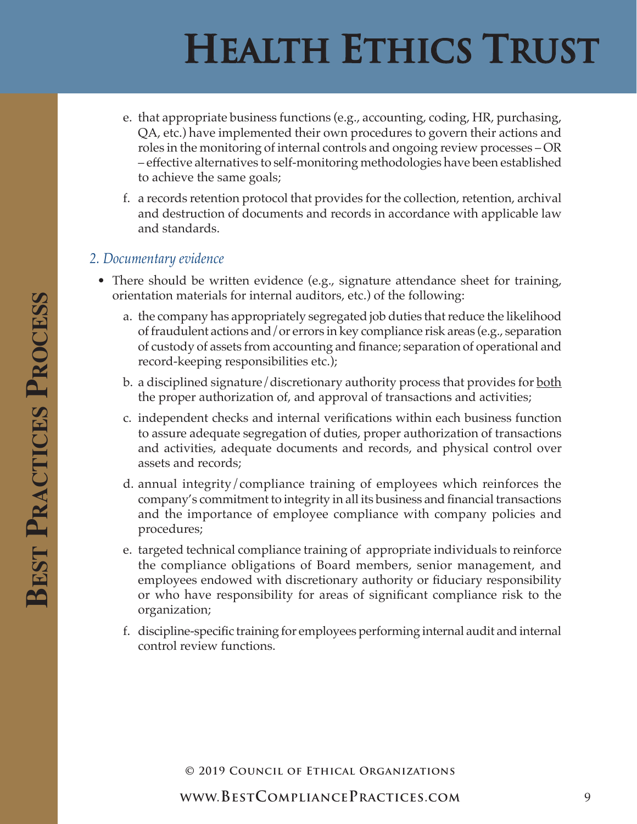- e. that appropriate business functions (e.g., accounting, coding, HR, purchasing, QA, etc.) have implemented their own procedures to govern their actions and roles in the monitoring of internal controls and ongoing review processes – OR – effective alternatives to self-monitoring methodologies have been established to achieve the same goals;
- f. a records retention protocol that provides for the collection, retention, archival and destruction of documents and records in accordance with applicable law and standards.

#### *2. Documentary evidence*

- There should be written evidence (e.g., signature attendance sheet for training, orientation materials for internal auditors, etc.) of the following:
	- a. the company has appropriately segregated job duties that reduce the likelihood of fraudulent actions and/or errors in key compliance risk areas (e.g., separation of custody of assets from accounting and finance; separation of operational and record-keeping responsibilities etc.);
	- b. a disciplined signature/discretionary authority process that provides for both the proper authorization of, and approval of transactions and activities;
	- c. independent checks and internal verifications within each business function to assure adequate segregation of duties, proper authorization of transactions and activities, adequate documents and records, and physical control over assets and records;
	- d. annual integrity/compliance training of employees which reinforces the company's commitment to integrity in all its business and financial transactions and the importance of employee compliance with company policies and procedures;
	- e. targeted technical compliance training of appropriate individuals to reinforce the compliance obligations of Board members, senior management, and employees endowed with discretionary authority or fiduciary responsibility or who have responsibility for areas of significant compliance risk to the organization;
	- f. discipline-specific training for employees performing internal audit and internal control review functions.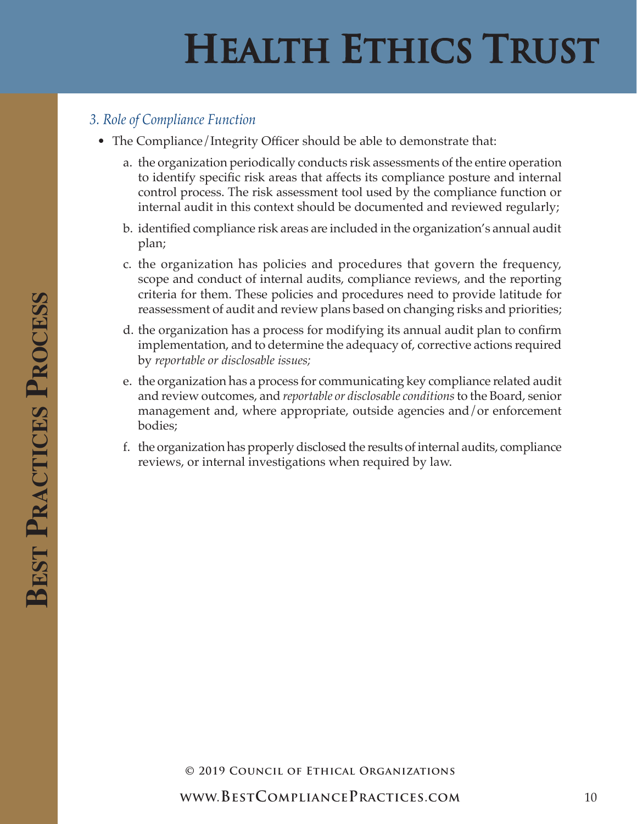#### *3. Role of Compliance Function*

- The Compliance/Integrity Officer should be able to demonstrate that:
	- a. the organization periodically conducts risk assessments of the entire operation to identify specific risk areas that affects its compliance posture and internal control process. The risk assessment tool used by the compliance function or internal audit in this context should be documented and reviewed regularly;
	- b. identified compliance risk areas are included in the organization's annual audit plan;
	- c. the organization has policies and procedures that govern the frequency, scope and conduct of internal audits, compliance reviews, and the reporting criteria for them. These policies and procedures need to provide latitude for reassessment of audit and review plans based on changing risks and priorities;
	- d. the organization has a process for modifying its annual audit plan to confirm implementation, and to determine the adequacy of, corrective actions required by *reportable or disclosable issues;*
	- e. the organization has a process for communicating key compliance related audit and review outcomes, and *reportable or disclosable conditions* to the Board, senior management and, where appropriate, outside agencies and/or enforcement bodies;
	- f. the organization has properly disclosed the results of internal audits, compliance reviews, or internal investigations when required by law.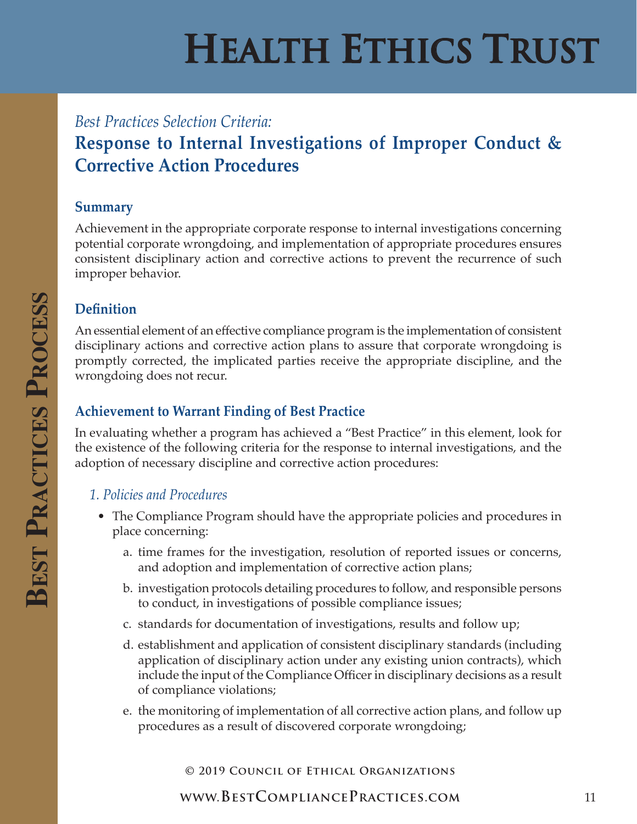#### *Best Practices Selection Criteria:*

### **Response to Internal Investigations of Improper Conduct & Corrective Action Procedures**

#### **Summary**

Achievement in the appropriate corporate response to internal investigations concerning potential corporate wrongdoing, and implementation of appropriate procedures ensures consistent disciplinary action and corrective actions to prevent the recurrence of such improper behavior.

### **Definition**

An essential element of an effective compliance program is the implementation of consistent disciplinary actions and corrective action plans to assure that corporate wrongdoing is promptly corrected, the implicated parties receive the appropriate discipline, and the wrongdoing does not recur.

#### **Achievement to Warrant Finding of Best Practice**

In evaluating whether a program has achieved a "Best Practice" in this element, look for the existence of the following criteria for the response to internal investigations, and the adoption of necessary discipline and corrective action procedures:

#### *1. Policies and Procedures*

- The Compliance Program should have the appropriate policies and procedures in place concerning:
	- a. time frames for the investigation, resolution of reported issues or concerns, and adoption and implementation of corrective action plans;
	- b. investigation protocols detailing procedures to follow, and responsible persons to conduct, in investigations of possible compliance issues;
	- c. standards for documentation of investigations, results and follow up;
	- d. establishment and application of consistent disciplinary standards (including application of disciplinary action under any existing union contracts), which include the input of the Compliance Officer in disciplinary decisions as a result of compliance violations;
	- e. the monitoring of implementation of all corrective action plans, and follow up procedures as a result of discovered corporate wrongdoing;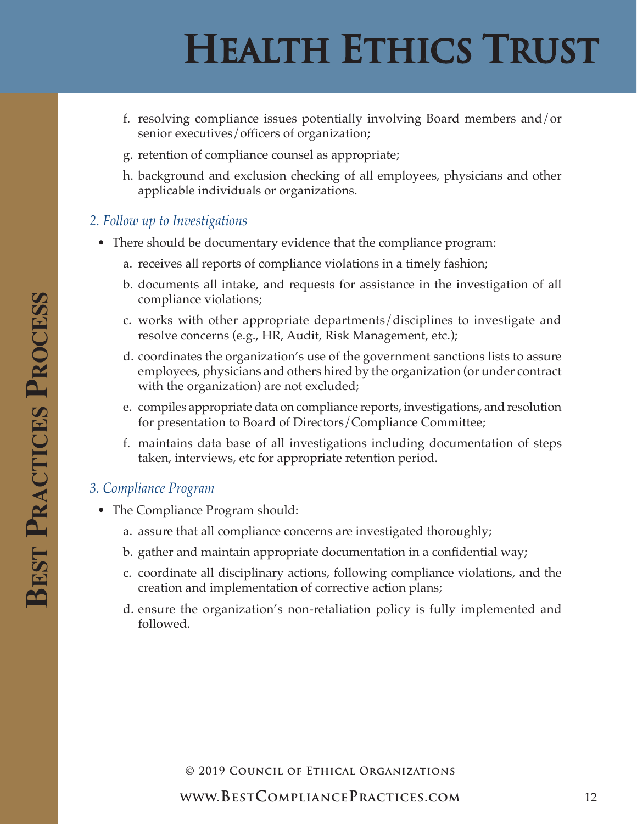- f. resolving compliance issues potentially involving Board members and/or senior executives/officers of organization;
- g. retention of compliance counsel as appropriate;
- h. background and exclusion checking of all employees, physicians and other applicable individuals or organizations.

#### *2. Follow up to Investigations*

- There should be documentary evidence that the compliance program:
	- a. receives all reports of compliance violations in a timely fashion;
	- b. documents all intake, and requests for assistance in the investigation of all compliance violations;
	- c. works with other appropriate departments/disciplines to investigate and resolve concerns (e.g., HR, Audit, Risk Management, etc.);
	- d. coordinates the organization's use of the government sanctions lists to assure employees, physicians and others hired by the organization (or under contract with the organization) are not excluded;
	- e. compiles appropriate data on compliance reports, investigations, and resolution for presentation to Board of Directors/Compliance Committee;
	- f. maintains data base of all investigations including documentation of steps taken, interviews, etc for appropriate retention period.

#### *3. Compliance Program*

- The Compliance Program should:
	- a. assure that all compliance concerns are investigated thoroughly;
	- b. gather and maintain appropriate documentation in a confidential way;
	- c. coordinate all disciplinary actions, following compliance violations, and the creation and implementation of corrective action plans;
	- d. ensure the organization's non-retaliation policy is fully implemented and followed.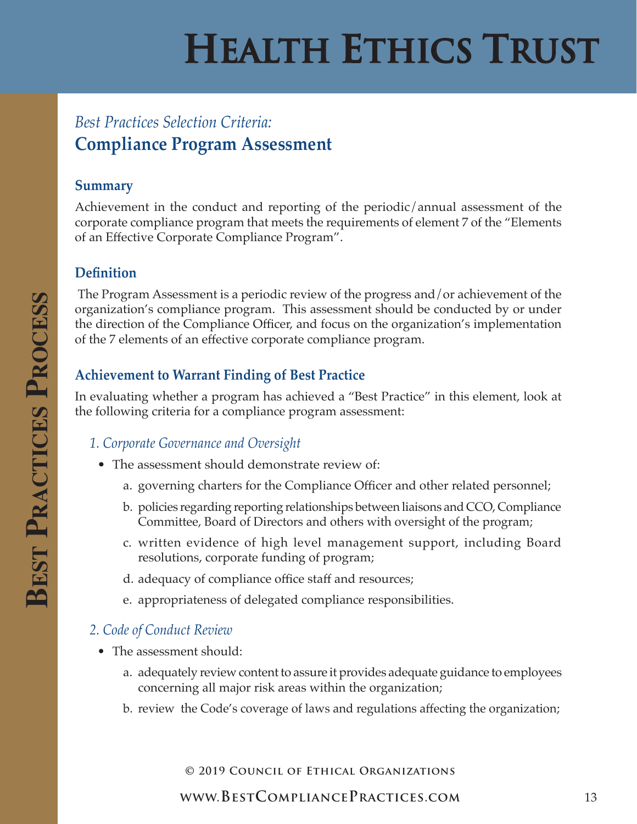### *Best Practices Selection Criteria:* **Compliance Program Assessment**

#### **Summary**

Achievement in the conduct and reporting of the periodic/annual assessment of the corporate compliance program that meets the requirements of element 7 of the "Elements of an Effective Corporate Compliance Program".

#### **Definition**

 The Program Assessment is a periodic review of the progress and/or achievement of the organization's compliance program. This assessment should be conducted by or under the direction of the Compliance Officer, and focus on the organization's implementation of the 7 elements of an effective corporate compliance program.

#### **Achievement to Warrant Finding of Best Practice**

In evaluating whether a program has achieved a "Best Practice" in this element, look at the following criteria for a compliance program assessment:

#### *1. Corporate Governance and Oversight*

- The assessment should demonstrate review of:
	- a. governing charters for the Compliance Officer and other related personnel;
	- b. policies regarding reporting relationships between liaisons and CCO, Compliance Committee, Board of Directors and others with oversight of the program;
	- c. written evidence of high level management support, including Board resolutions, corporate funding of program;
	- d. adequacy of compliance office staff and resources;
	- e. appropriateness of delegated compliance responsibilities.

#### *2. Code of Conduct Review*

- The assessment should:
	- a. adequately review content to assure it provides adequate guidance to employees concerning all major risk areas within the organization;
	- b. review the Code's coverage of laws and regulations affecting the organization;

**© 2019 Council of Ethical Organizations**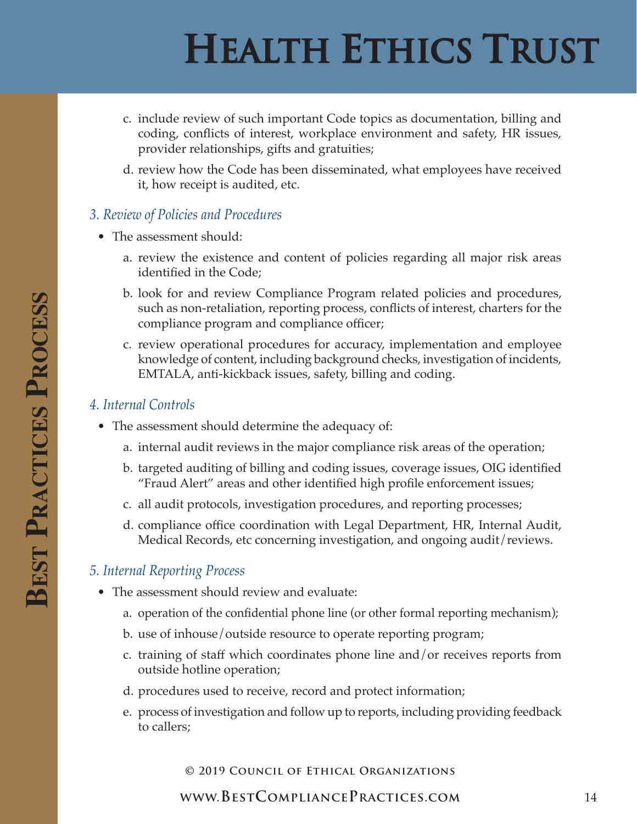- c. include review of such important Code topics as documentation, billing and coding, conflicts of interest, workplace environment and safety, HR issues, provider relationships, gifts and gratuities;
- d. review how the Code has been disseminated, what employees have received it, how receipt is audited, etc.

#### *3. Review of Policies and Procedures*

- The assessment should:
	- a. review the existence and content of policies regarding all major risk areas identified in the Code;
	- b. look for and review Compliance Program related policies and procedures, such as non-retaliation, reporting process, conflicts of interest, charters for the compliance program and compliance officer;
	- c. review operational procedures for accuracy, implementation and employee knowledge of content, including background checks, investigation of incidents, EMTALA, anti-kickback issues, safety, billing and coding.

#### *4. Internal Controls*

- The assessment should determine the adequacy of:
	- a. internal audit reviews in the major compliance risk areas of the operation;
	- b. targeted auditing of billing and coding issues, coverage issues, OIG identified "Fraud Alert" areas and other identified high profile enforcement issues;
	- c. all audit protocols, investigation procedures, and reporting processes;
	- d. compliance office coordination with Legal Department, HR, Internal Audit, Medical Records, etc concerning investigation, and ongoing audit/reviews.

#### *5. Internal Reporting Process*

- The assessment should review and evaluate:
	- a. operation of the confidential phone line (or other formal reporting mechanism);
	- b. use of inhouse/outside resource to operate reporting program;
	- c. training of staff which coordinates phone line and/or receives reports from outside hotline operation;
	- d. procedures used to receive, record and protect information;
	- e. process of investigation and follow up to reports, including providing feedback to callers;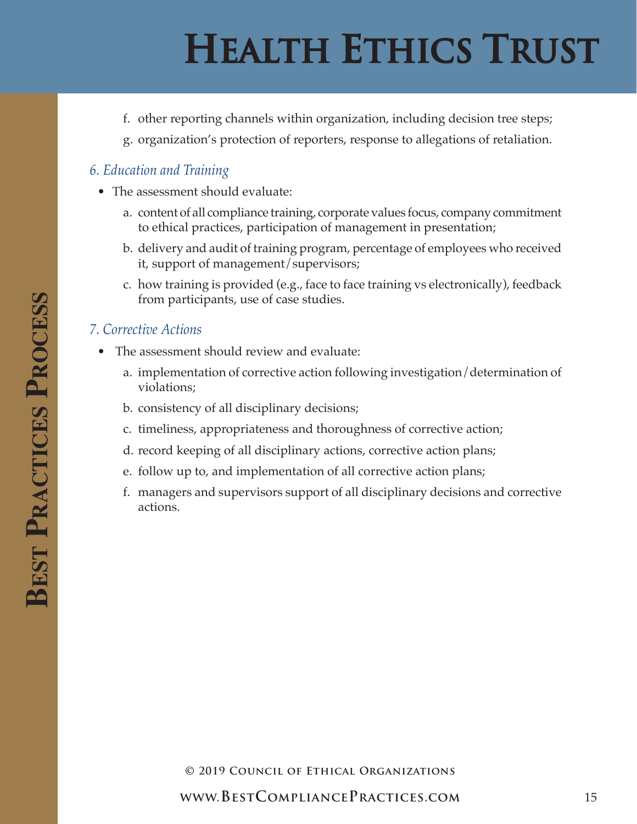- f. other reporting channels within organization, including decision tree steps;
- g. organization's protection of reporters, response to allegations of retaliation.

#### *6. Education and Training*

- The assessment should evaluate:
	- a. content of all compliance training, corporate values focus, company commitment to ethical practices, participation of management in presentation;
	- b. delivery and audit of training program, percentage of employees who received it, support of management/supervisors;
	- c. how training is provided (e.g., face to face training vs electronically), feedback from participants, use of case studies.

#### *7. Corrective Actions*

- The assessment should review and evaluate:
	- a. implementation of corrective action following investigation/determination of violations;
	- b. consistency of all disciplinary decisions;
	- c. timeliness, appropriateness and thoroughness of corrective action;
	- d. record keeping of all disciplinary actions, corrective action plans;
	- e. follow up to, and implementation of all corrective action plans;
	- f. managers and supervisors support of all disciplinary decisions and corrective actions.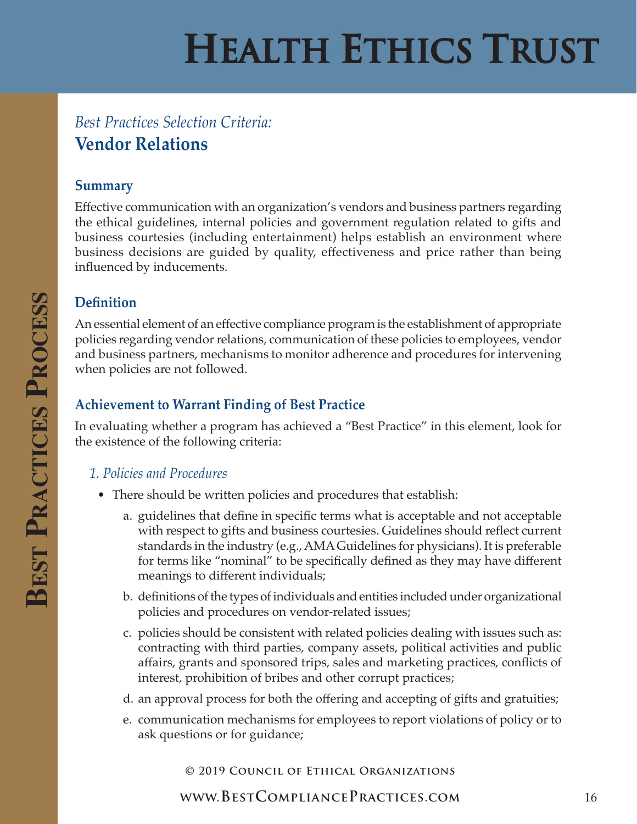### *Best Practices Selection Criteria:* **Vendor Relations**

#### **Summary**

Effective communication with an organization's vendors and business partners regarding the ethical guidelines, internal policies and government regulation related to gifts and business courtesies (including entertainment) helps establish an environment where business decisions are guided by quality, effectiveness and price rather than being influenced by inducements.

#### **Definition**

An essential element of an effective compliance program is the establishment of appropriate policies regarding vendor relations, communication of these policies to employees, vendor and business partners, mechanisms to monitor adherence and procedures for intervening when policies are not followed.

#### **Achievement to Warrant Finding of Best Practice**

In evaluating whether a program has achieved a "Best Practice" in this element, look for the existence of the following criteria:

#### *1. Policies and Procedures*

- There should be written policies and procedures that establish:
	- a. guidelines that define in specific terms what is acceptable and not acceptable with respect to gifts and business courtesies. Guidelines should reflect current standards in the industry (e.g., AMA Guidelines for physicians). It is preferable for terms like "nominal" to be specifically defined as they may have different meanings to different individuals;
	- b. definitions of the types of individuals and entities included under organizational policies and procedures on vendor-related issues;
	- c. policies should be consistent with related policies dealing with issues such as: contracting with third parties, company assets, political activities and public affairs, grants and sponsored trips, sales and marketing practices, conflicts of interest, prohibition of bribes and other corrupt practices;
	- d. an approval process for both the offering and accepting of gifts and gratuities;
	- e. communication mechanisms for employees to report violations of policy or to ask questions or for guidance;

**© 2019 Council of Ethical Organizations**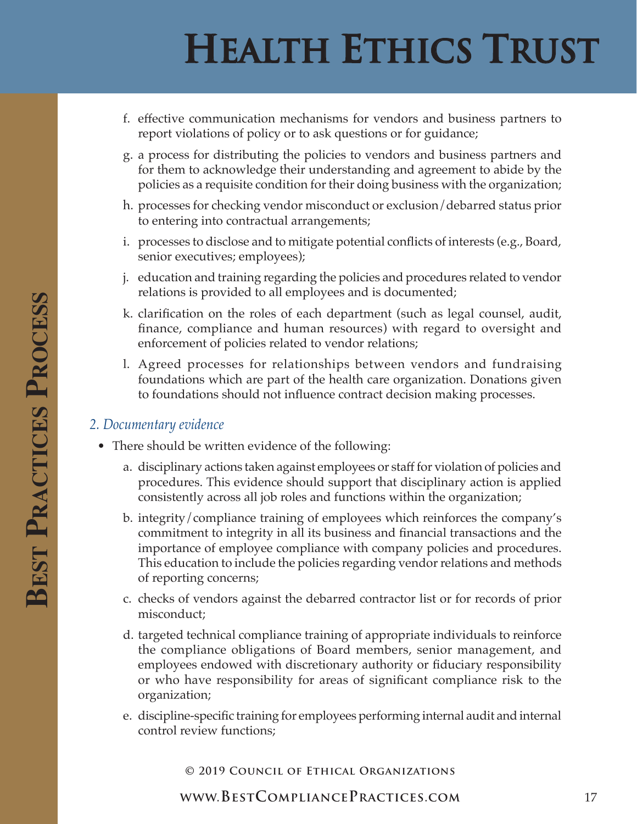- f. effective communication mechanisms for vendors and business partners to report violations of policy or to ask questions or for guidance;
- g. a process for distributing the policies to vendors and business partners and for them to acknowledge their understanding and agreement to abide by the policies as a requisite condition for their doing business with the organization;
- h. processes for checking vendor misconduct or exclusion/debarred status prior to entering into contractual arrangements;
- i. processes to disclose and to mitigate potential conflicts of interests (e.g., Board, senior executives; employees);
- j. education and training regarding the policies and procedures related to vendor relations is provided to all employees and is documented;
- k. clarification on the roles of each department (such as legal counsel, audit, finance, compliance and human resources) with regard to oversight and enforcement of policies related to vendor relations;
- l. Agreed processes for relationships between vendors and fundraising foundations which are part of the health care organization. Donations given to foundations should not influence contract decision making processes.

#### *2. Documentary evidence*

- There should be written evidence of the following:
	- a. disciplinary actions taken against employees or staff for violation of policies and procedures. This evidence should support that disciplinary action is applied consistently across all job roles and functions within the organization;
	- b. integrity/compliance training of employees which reinforces the company's commitment to integrity in all its business and financial transactions and the importance of employee compliance with company policies and procedures. This education to include the policies regarding vendor relations and methods of reporting concerns;
	- c. checks of vendors against the debarred contractor list or for records of prior misconduct;
	- d. targeted technical compliance training of appropriate individuals to reinforce the compliance obligations of Board members, senior management, and employees endowed with discretionary authority or fiduciary responsibility or who have responsibility for areas of significant compliance risk to the organization;
	- e. discipline-specific training for employees performing internal audit and internal control review functions;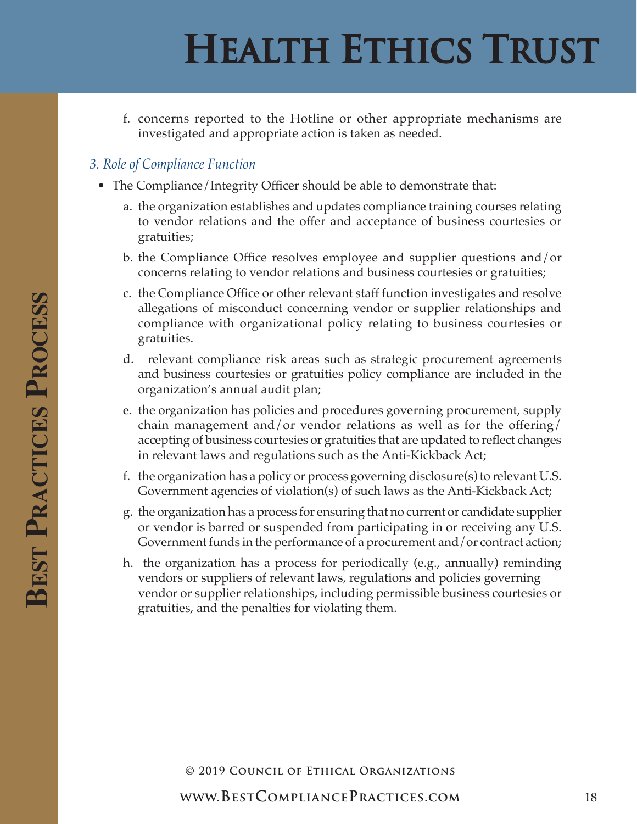f. concerns reported to the Hotline or other appropriate mechanisms are investigated and appropriate action is taken as needed.

#### *3. Role of Compliance Function*

- The Compliance/Integrity Officer should be able to demonstrate that:
	- a. the organization establishes and updates compliance training courses relating to vendor relations and the offer and acceptance of business courtesies or gratuities;
	- b. the Compliance Office resolves employee and supplier questions and/or concerns relating to vendor relations and business courtesies or gratuities;
	- c. the Compliance Office or other relevant staff function investigates and resolve allegations of misconduct concerning vendor or supplier relationships and compliance with organizational policy relating to business courtesies or gratuities.
	- d. relevant compliance risk areas such as strategic procurement agreements and business courtesies or gratuities policy compliance are included in the organization's annual audit plan;
	- e. the organization has policies and procedures governing procurement, supply chain management and/or vendor relations as well as for the offering/ accepting of business courtesies or gratuities that are updated to reflect changes in relevant laws and regulations such as the Anti-Kickback Act;
	- f. the organization has a policy or process governing disclosure(s) to relevant U.S. Government agencies of violation(s) of such laws as the Anti-Kickback Act;
	- g. the organization has a process for ensuring that no current or candidate supplier or vendor is barred or suspended from participating in or receiving any U.S. Government funds in the performance of a procurement and/or contract action;
	- h. the organization has a process for periodically (e.g., annually) reminding vendors or suppliers of relevant laws, regulations and policies governing vendor or supplier relationships, including permissible business courtesies or gratuities, and the penalties for violating them.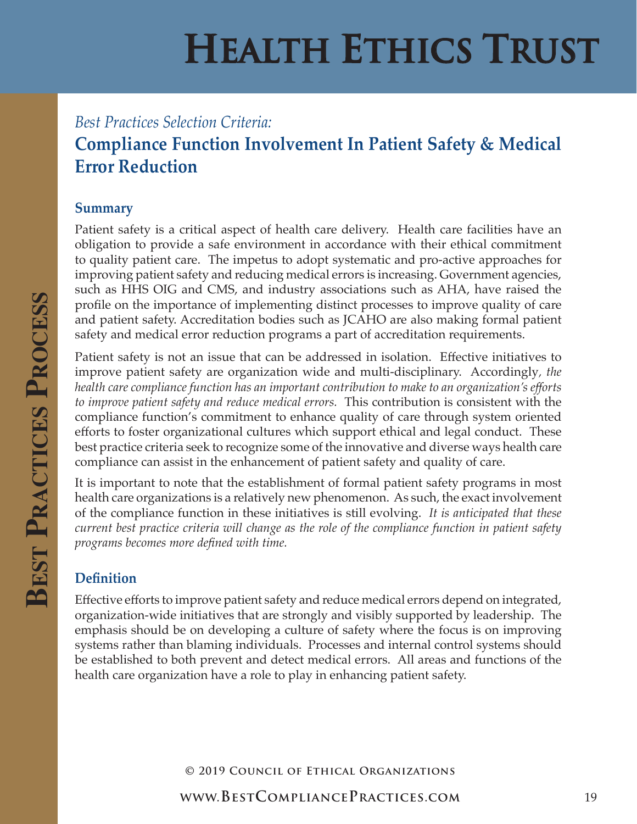#### *Best Practices Selection Criteria:*

### **Compliance Function Involvement In Patient Safety & Medical Error Reduction**

#### **Summary**

Patient safety is a critical aspect of health care delivery. Health care facilities have an obligation to provide a safe environment in accordance with their ethical commitment to quality patient care. The impetus to adopt systematic and pro-active approaches for improving patient safety and reducing medical errors is increasing. Government agencies, such as HHS OIG and CMS, and industry associations such as AHA, have raised the profile on the importance of implementing distinct processes to improve quality of care and patient safety. Accreditation bodies such as JCAHO are also making formal patient safety and medical error reduction programs a part of accreditation requirements.

Patient safety is not an issue that can be addressed in isolation. Effective initiatives to improve patient safety are organization wide and multi-disciplinary. Accordingly*, the health care compliance function has an important contribution to make to an organization's efforts to improve patient safety and reduce medical errors.* This contribution is consistent with the compliance function's commitment to enhance quality of care through system oriented efforts to foster organizational cultures which support ethical and legal conduct. These best practice criteria seek to recognize some of the innovative and diverse ways health care compliance can assist in the enhancement of patient safety and quality of care.

It is important to note that the establishment of formal patient safety programs in most health care organizations is a relatively new phenomenon. As such, the exact involvement of the compliance function in these initiatives is still evolving. *It is anticipated that these current best practice criteria will change as the role of the compliance function in patient safety programs becomes more defined with time.*

#### **Definition**

Effective efforts to improve patient safety and reduce medical errors depend on integrated, organization-wide initiatives that are strongly and visibly supported by leadership. The emphasis should be on developing a culture of safety where the focus is on improving systems rather than blaming individuals. Processes and internal control systems should be established to both prevent and detect medical errors. All areas and functions of the health care organization have a role to play in enhancing patient safety.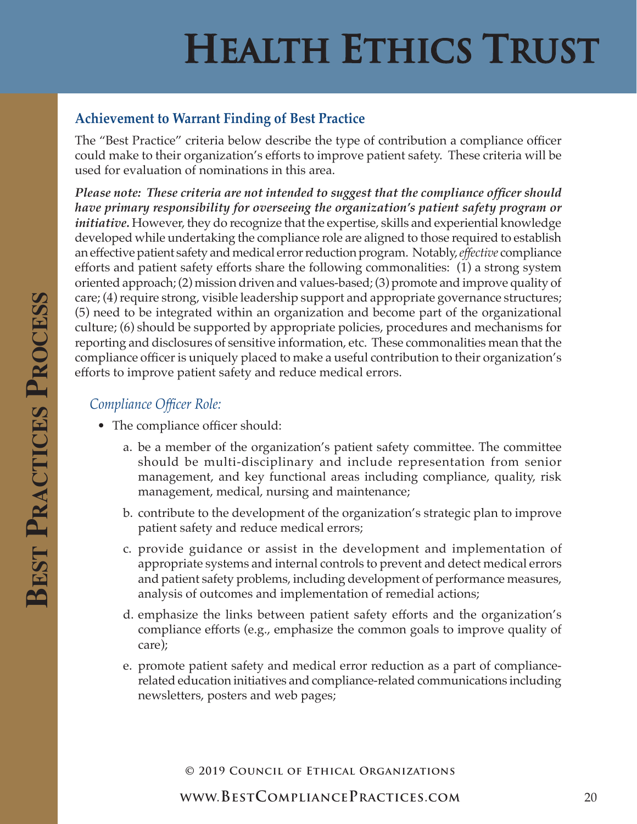#### **Achievement to Warrant Finding of Best Practice**

The "Best Practice" criteria below describe the type of contribution a compliance officer could make to their organization's efforts to improve patient safety. These criteria will be used for evaluation of nominations in this area.

*Please note: These criteria are not intended to suggest that the compliance officer should have primary responsibility for overseeing the organization's patient safety program or initiative*. However, they do recognize that the expertise, skills and experiential knowledge developed while undertaking the compliance role are aligned to those required to establish an effective patient safety and medical error reduction program. Notably, *effective* compliance efforts and patient safety efforts share the following commonalities: (1) a strong system oriented approach; (2) mission driven and values-based; (3) promote and improve quality of care; (4) require strong, visible leadership support and appropriate governance structures; (5) need to be integrated within an organization and become part of the organizational culture; (6) should be supported by appropriate policies, procedures and mechanisms for reporting and disclosures of sensitive information, etc. These commonalities mean that the compliance officer is uniquely placed to make a useful contribution to their organization's efforts to improve patient safety and reduce medical errors.

#### *Compliance Officer Role:*

- The compliance officer should:
	- a. be a member of the organization's patient safety committee. The committee should be multi-disciplinary and include representation from senior management, and key functional areas including compliance, quality, risk management, medical, nursing and maintenance;
	- b. contribute to the development of the organization's strategic plan to improve patient safety and reduce medical errors;
	- c. provide guidance or assist in the development and implementation of appropriate systems and internal controls to prevent and detect medical errors and patient safety problems, including development of performance measures, analysis of outcomes and implementation of remedial actions;
	- d. emphasize the links between patient safety efforts and the organization's compliance efforts (e.g., emphasize the common goals to improve quality of care);
	- e. promote patient safety and medical error reduction as a part of compliancerelated education initiatives and compliance-related communications including newsletters, posters and web pages;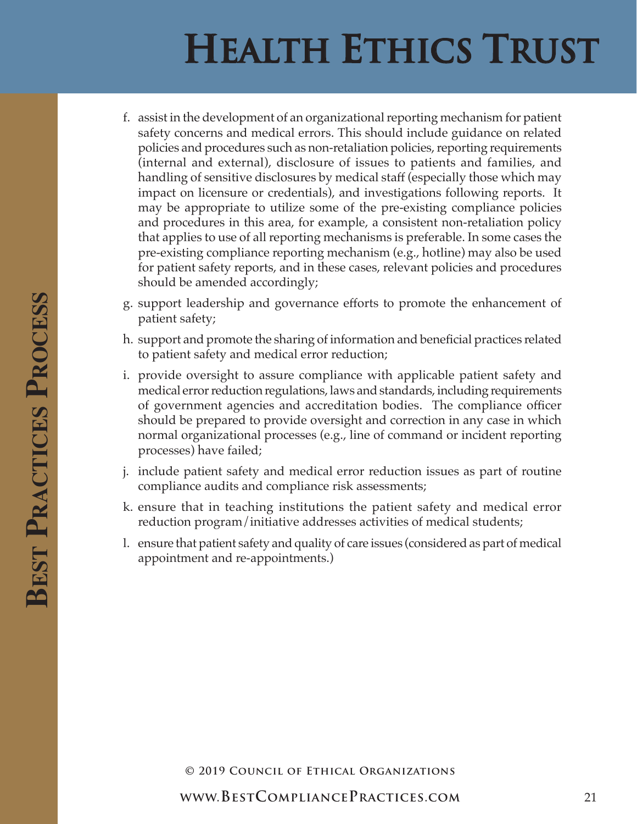- f. assist in the development of an organizational reporting mechanism for patient safety concerns and medical errors. This should include guidance on related policies and procedures such as non-retaliation policies, reporting requirements (internal and external), disclosure of issues to patients and families, and handling of sensitive disclosures by medical staff (especially those which may impact on licensure or credentials), and investigations following reports. It may be appropriate to utilize some of the pre-existing compliance policies and procedures in this area, for example, a consistent non-retaliation policy that applies to use of all reporting mechanisms is preferable. In some cases the pre-existing compliance reporting mechanism (e.g., hotline) may also be used for patient safety reports, and in these cases, relevant policies and procedures should be amended accordingly;
- g. support leadership and governance efforts to promote the enhancement of patient safety;
- h. support and promote the sharing of information and beneficial practices related to patient safety and medical error reduction;
- i. provide oversight to assure compliance with applicable patient safety and medical error reduction regulations, laws and standards, including requirements of government agencies and accreditation bodies. The compliance officer should be prepared to provide oversight and correction in any case in which normal organizational processes (e.g., line of command or incident reporting processes) have failed;
- j. include patient safety and medical error reduction issues as part of routine compliance audits and compliance risk assessments;
- k. ensure that in teaching institutions the patient safety and medical error reduction program/initiative addresses activities of medical students;
- l. ensure that patient safety and quality of care issues (considered as part of medical appointment and re-appointments.)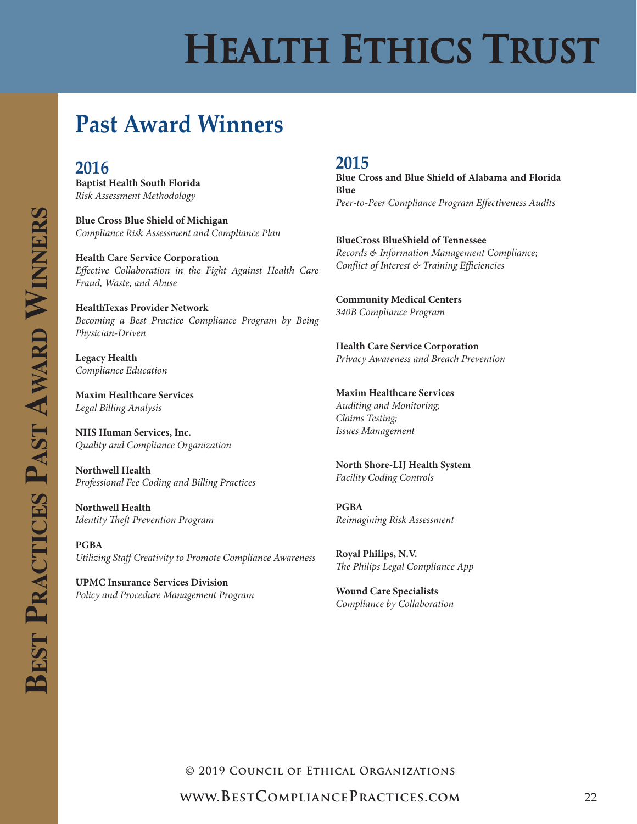### **Past Award Winners**

#### **2016**

**Baptist Health South Florida**  *Risk Assessment Methodology*

**Blue Cross Blue Shield of Michigan**  *Compliance Risk Assessment and Compliance Plan*

**Health Care Service Corporation**  *Effective Collaboration in the Fight Against Health Care Fraud, Waste, and Abuse*

**HealthTexas Provider Network**  *Becoming a Best Practice Compliance Program by Being Physician-Driven*

**Legacy Health**  *Compliance Education*

**Maxim Healthcare Services** *Legal Billing Analysis*

**NHS Human Services, Inc.**  *Quality and Compliance Organization*

**Northwell Health**  *Professional Fee Coding and Billing Practices*

**Northwell Health**  *Identity Theft Prevention Program*

**PGBA** *Utilizing Staff Creativity to Promote Compliance Awareness*

**UPMC Insurance Services Division** *Policy and Procedure Management Program*

### **2015**

**Blue Cross and Blue Shield of Alabama and Florida Blue** *Peer-to-Peer Compliance Program Effectiveness Audits*

**BlueCross BlueShield of Tennessee** *Records & Information Management Compliance; Conflict of Interest & Training Efficiencies*

**Community Medical Centers**  *340B Compliance Program*

**Health Care Service Corporation**  *Privacy Awareness and Breach Prevention*

**Maxim Healthcare Services** *Auditing and Monitoring; Claims Testing; Issues Management*

**North Shore-LIJ Health System**  *Facility Coding Controls*

**PGBA** *Reimagining Risk Assessment*

**Royal Philips, N.V.**  *The Philips Legal Compliance App*

**Wound Care Specialists** *Compliance by Collaboration*

**© 2019 Council of Ethical Organizations**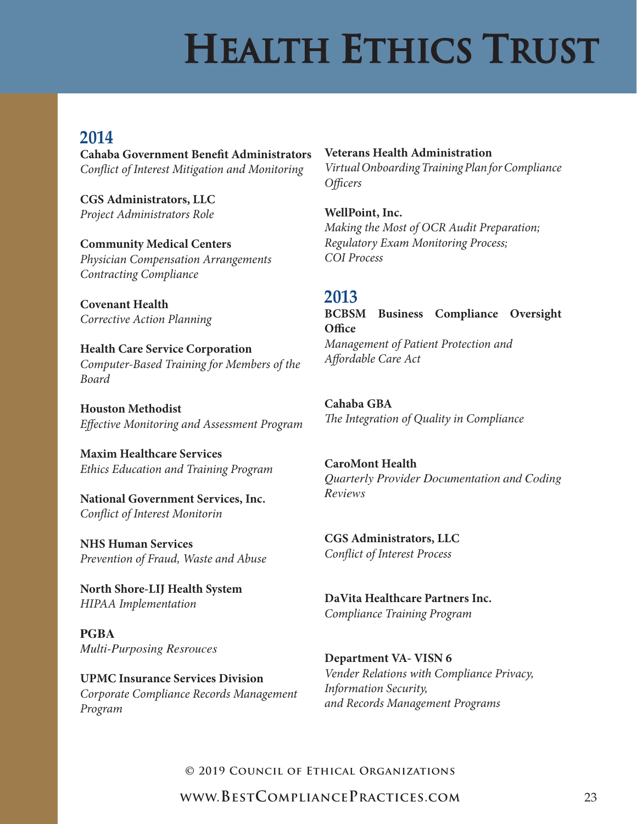#### **2014**

**Cahaba Government Benefit Administrators** *Conflict of Interest Mitigation and Monitoring*

**CGS Administrators, LLC** *Project Administrators Role*

**Community Medical Centers** *Physician Compensation Arrangements Contracting Compliance*

**Covenant Health** *Corrective Action Planning*

**Health Care Service Corporation** *Computer-Based Training for Members of the Board*

**Houston Methodist** *Effective Monitoring and Assessment Program*

**Maxim Healthcare Services** *Ethics Education and Training Program*

**National Government Services, Inc.** *Conflict of Interest Monitorin*

**NHS Human Services** *Prevention of Fraud, Waste and Abuse*

**North Shore-LIJ Health System** *HIPAA Implementation*

**PGBA** *Multi-Purposing Resrouces*

**UPMC Insurance Services Division** *Corporate Compliance Records Management Program*

**Veterans Health Administration**

*Virtual Onboarding Training Plan for Compliance Officers*

**WellPoint, Inc.** *Making the Most of OCR Audit Preparation; Regulatory Exam Monitoring Process; COI Process*

#### **2013**

**BCBSM Business Compliance Oversight Office** *Management of Patient Protection and Affordable Care Act*

**Cahaba GBA** *The Integration of Quality in Compliance*

**CaroMont Health** *Quarterly Provider Documentation and Coding Reviews*

**CGS Administrators, LLC** *Conflict of Interest Process*

**DaVita Healthcare Partners Inc.** *Compliance Training Program*

**Department VA- VISN 6** *Vender Relations with Compliance Privacy, Information Security, and Records Management Programs*

**© 2019 Council of Ethical Organizations**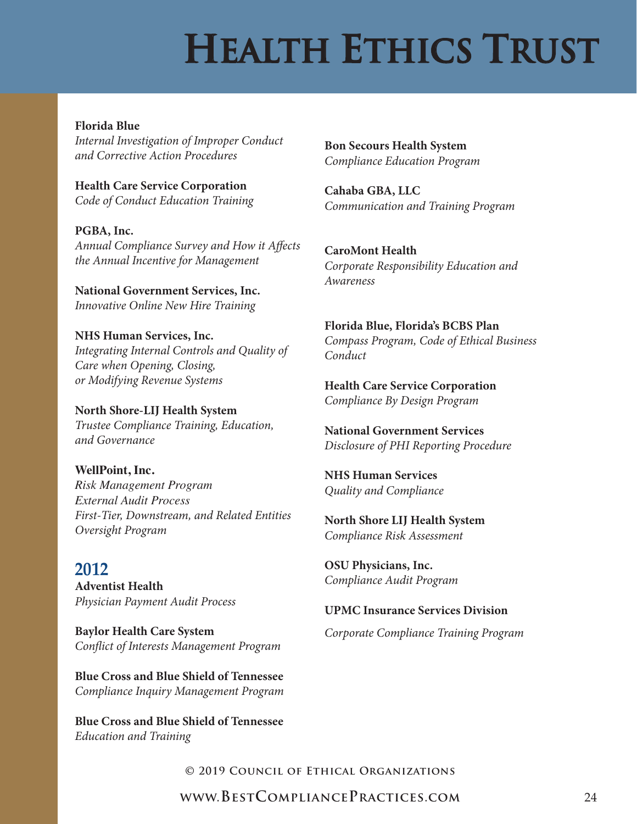#### **Florida Blue**

*Internal Investigation of Improper Conduct and Corrective Action Procedures*

**Health Care Service Corporation** *Code of Conduct Education Training*

**PGBA, Inc.** *Annual Compliance Survey and How it Affects the Annual Incentive for Management*

**National Government Services, Inc.** *Innovative Online New Hire Training*

**NHS Human Services, Inc.** *Integrating Internal Controls and Quality of Care when Opening, Closing, or Modifying Revenue Systems*

**North Shore-LIJ Health System** *Trustee Compliance Training, Education, and Governance*

**WellPoint, Inc.** *Risk Management Program External Audit Process First-Tier, Downstream, and Related Entities Oversight Program*

#### **2012**

**Adventist Health** *Physician Payment Audit Process*

**Baylor Health Care System** *Conflict of Interests Management Program*

**Blue Cross and Blue Shield of Tennessee** *Compliance Inquiry Management Program*

**Blue Cross and Blue Shield of Tennessee** *Education and Training*

**Bon Secours Health System** *Compliance Education Program*

**Cahaba GBA, LLC** *Communication and Training Program*

**CaroMont Health** *Corporate Responsibility Education and Awareness*

**Florida Blue, Florida's BCBS Plan** *Compass Program, Code of Ethical Business Conduct*

**Health Care Service Corporation** *Compliance By Design Program*

**National Government Services** *Disclosure of PHI Reporting Procedure*

**NHS Human Services** *Quality and Compliance*

**North Shore LIJ Health System** *Compliance Risk Assessment*

**OSU Physicians, Inc.** *Compliance Audit Program*

#### **UPMC Insurance Services Division**

*Corporate Compliance Training Program*

**© 2019 Council of Ethical Organizations**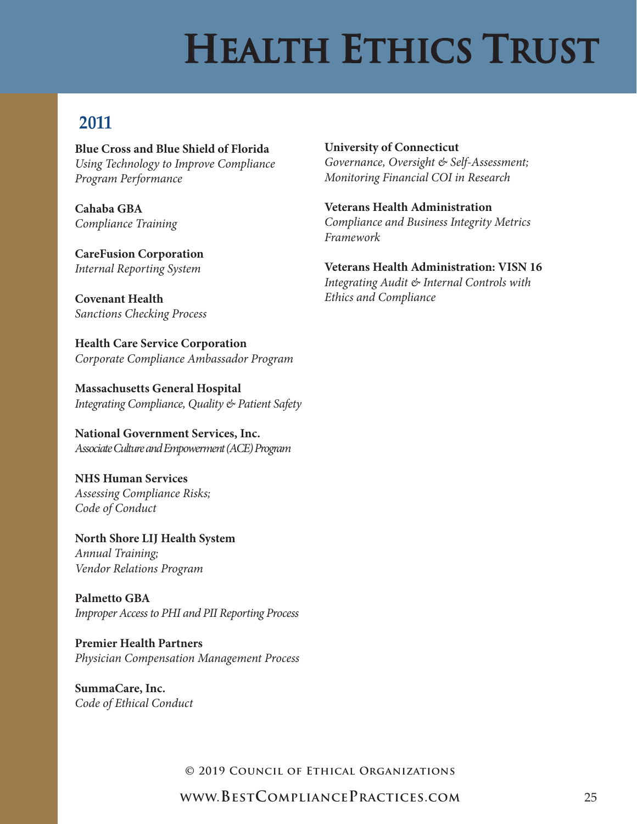### **2011**

**Blue Cross and Blue Shield of Florida** *Using Technology to Improve Compliance Program Performance*

**Cahaba GBA** *Compliance Training*

**CareFusion Corporation** *Internal Reporting System*

**Covenant Health** *Sanctions Checking Process*

**Health Care Service Corporation** *Corporate Compliance Ambassador Program*

**Massachusetts General Hospital** *Integrating Compliance, Quality & Patient Safety*

**National Government Services, Inc.** *Associate Culture and Empowerment (ACE) Program*

**NHS Human Services** *Assessing Compliance Risks; Code of Conduct*

**North Shore LIJ Health System** *Annual Training; Vendor Relations Program*

**Palmetto GBA** *Improper Access to PHI and PII Reporting Process*

**Premier Health Partners** *Physician Compensation Management Process*

**SummaCare, Inc.** *Code of Ethical Conduct* **University of Connecticut**

*Governance, Oversight & Self-Assessment; Monitoring Financial COI in Research*

#### **Veterans Health Administration**

*Compliance and Business Integrity Metrics Framework*

**Veterans Health Administration: VISN 16** *Integrating Audit & Internal Controls with Ethics and Compliance*

**© 2019 Council of Ethical Organizations**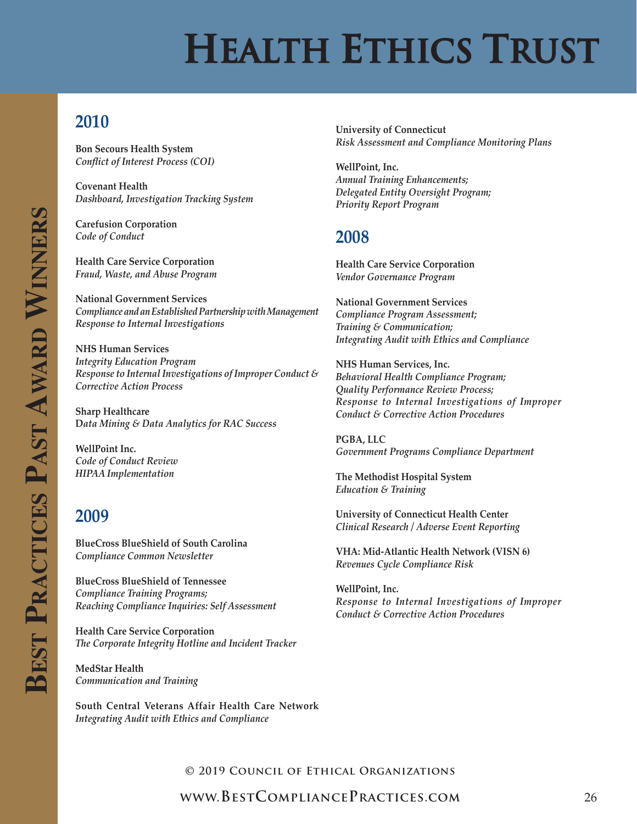### **2010**

**Bon Secours Health System** *Conflict of Interest Process (COI)*

**Covenant Health** *Dashboard, Investigation Tracking System*

**Carefusion Corporation** *Code of Conduct*

**Health Care Service Corporation** *Fraud, Waste, and Abuse Program*

**National Government Services** *Compliance and an Established Partnership with Management Response to Internal Investigations*

**NHS Human Services** *Integrity Education Program Response to Internal Investigations of Improper Conduct & Corrective Action Process*

**Sharp Healthcare D***ata Mining & Data Analytics for RAC Success*

**WellPoint Inc.** *Code of Conduct Review HIPAA Implementation*

#### **2009**

**BlueCross BlueShield of South Carolina** *Compliance Common Newsletter*

**BlueCross BlueShield of Tennessee** *Compliance Training Programs; Reaching Compliance Inquiries: Self Assessment*

**Health Care Service Corporation** *The Corporate Integrity Hotline and Incident Tracker*

**MedStar Health** *Communication and Training*

**South Central Veterans Affair Health Care Network**  *Integrating Audit with Ethics and Compliance*

**University of Connecticut** *Risk Assessment and Compliance Monitoring Plans*

**WellPoint, Inc.** *Annual Training Enhancements; Delegated Entity Oversight Program; Priority Report Program*

#### **2008**

**Health Care Service Corporation** *Vendor Governance Program*

**National Government Services** *Compliance Program Assessment; Training & Communication; Integrating Audit with Ethics and Compliance*

**NHS Human Services, Inc.** *Behavioral Health Compliance Program; Quality Performance Review Process; Response to Internal Investigations of Improper Conduct & Corrective Action Procedures*

**PGBA, LLC** *Government Programs Compliance Department*

**The Methodist Hospital System** *Education & Training*

**University of Connecticut Health Center** *Clinical Research / Adverse Event Reporting*

**VHA: Mid-Atlantic Health Network (VISN 6)** *Revenues Cycle Compliance Risk*

**WellPoint, Inc.** *Response to Internal Investigations of Improper Conduct & Corrective Action Procedures*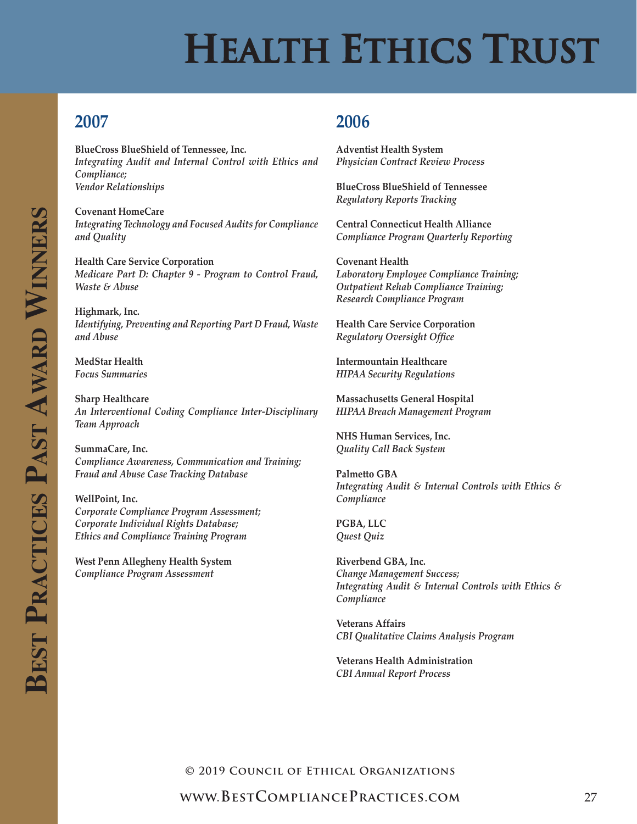### **2007**

**BlueCross BlueShield of Tennessee, Inc.** *Integrating Audit and Internal Control with Ethics and Compliance; Vendor Relationships*

**Covenant HomeCare** *Integrating Technology and Focused Audits for Compliance and Quality*

**Health Care Service Corporation** *Medicare Part D: Chapter 9 - Program to Control Fraud, Waste & Abuse*

**Highmark, Inc.** *Identifying, Preventing and Reporting Part D Fraud, Waste and Abuse*

**MedStar Health** *Focus Summaries*

**Sharp Healthcare** *An Interventional Coding Compliance Inter-Disciplinary Team Approach*

**SummaCare, Inc.** *Compliance Awareness, Communication and Training; Fraud and Abuse Case Tracking Database*

**WellPoint, Inc.** *Corporate Compliance Program Assessment; Corporate Individual Rights Database; Ethics and Compliance Training Program*

**West Penn Allegheny Health System** *Compliance Program Assessment*

### **2006**

**Adventist Health System** *Physician Contract Review Process*

**BlueCross BlueShield of Tennessee** *Regulatory Reports Tracking*

**Central Connecticut Health Alliance** *Compliance Program Quarterly Reporting*

**Covenant Health** *Laboratory Employee Compliance Training; Outpatient Rehab Compliance Training; Research Compliance Program*

**Health Care Service Corporation** *Regulatory Oversight Office*

**Intermountain Healthcare** *HIPAA Security Regulations*

**Massachusetts General Hospital** *HIPAA Breach Management Program*

**NHS Human Services, Inc.** *Quality Call Back System*

**Palmetto GBA** *Integrating Audit & Internal Controls with Ethics & Compliance*

**PGBA, LLC** *Quest Quiz*

**Riverbend GBA, Inc.** *Change Management Success; Integrating Audit & Internal Controls with Ethics & Compliance*

**Veterans Affairs** *CBI Qualitative Claims Analysis Program*

**Veterans Health Administration** *CBI Annual Report Process*

**© 2019 Council of Ethical Organizations**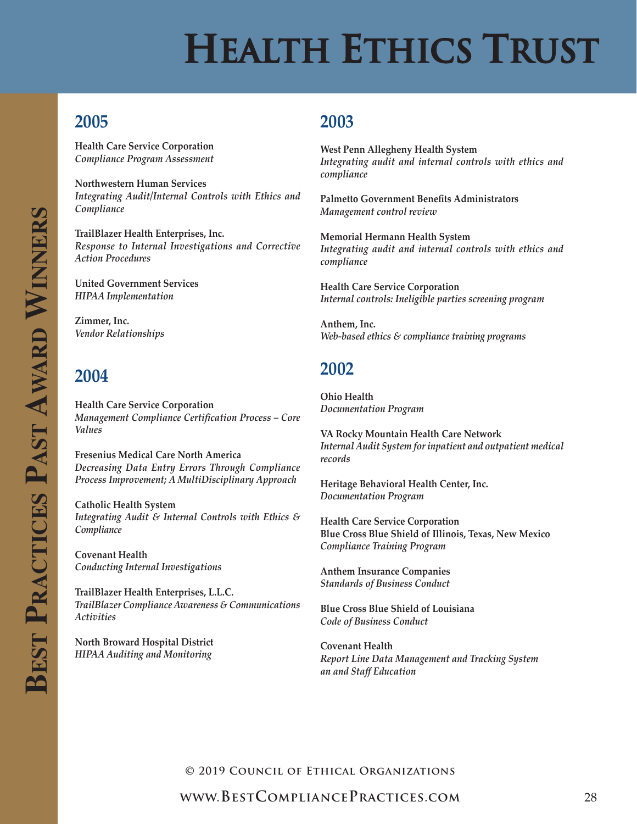### **2005**

**Health Care Service Corporation** *Compliance Program Assessment*

**Northwestern Human Services** *Integrating Audit/Internal Controls with Ethics and Compliance*

**TrailBlazer Health Enterprises, Inc.** *Response to Internal Investigations and Corrective Action Procedures*

**United Government Services** *HIPAA Implementation*

**Zimmer, Inc.** *Vendor Relationships*

### **2004**

**Health Care Service Corporation** *Management Compliance Certification Process – Core Values*

**Fresenius Medical Care North America** *Decreasing Data Entry Errors Through Compliance Process Improvement; A MultiDisciplinary Approach*

**Catholic Health System** *Integrating Audit & Internal Controls with Ethics & Compliance*

**Covenant Health** *Conducting Internal Investigations*

**TrailBlazer Health Enterprises, L.L.C.** *TrailBlazer Compliance Awareness & Communications Activities*

**North Broward Hospital District** *HIPAA Auditing and Monitoring*

### **2003**

**West Penn Allegheny Health System** *Integrating audit and internal controls with ethics and compliance*

**Palmetto Government Benefits Administrators** *Management control review*

**Memorial Hermann Health System** *Integrating audit and internal controls with ethics and compliance*

**Health Care Service Corporation** *Internal controls: Ineligible parties screening program*

**Anthem, Inc.** *Web-based ethics & compliance training programs* 

#### **2002**

**Ohio Health** *Documentation Program* 

**VA Rocky Mountain Health Care Network** *Internal Audit System for inpatient and outpatient medical records*

**Heritage Behavioral Health Center, Inc.** *Documentation Program* 

**Health Care Service Corporation Blue Cross Blue Shield of Illinois, Texas, New Mexico** *Compliance Training Program*

**Anthem Insurance Companies** *Standards of Business Conduct*

**Blue Cross Blue Shield of Louisiana** *Code of Business Conduct*

**Covenant Health** *Report Line Data Management and Tracking System an and Staff Education*

**© 2019 Council of Ethical Organizations**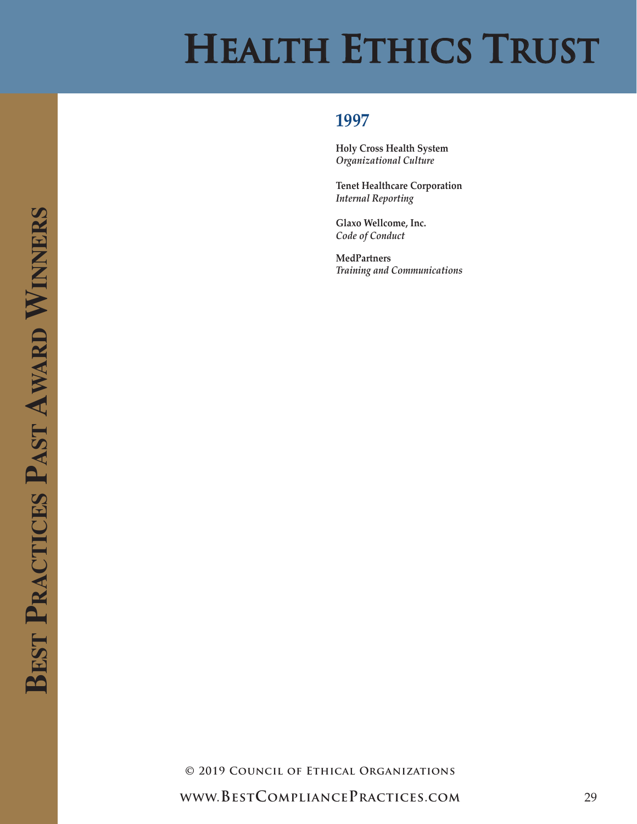### **1997**

**Holy Cross Health System** *Organizational Culture*

**Tenet Healthcare Corporation**  *Internal Reporting*

**Glaxo Wellcome, Inc.**  *Code of Conduct*

**MedPartners**  *Training and Communications*

**© 2019 Council of Ethical Organizations**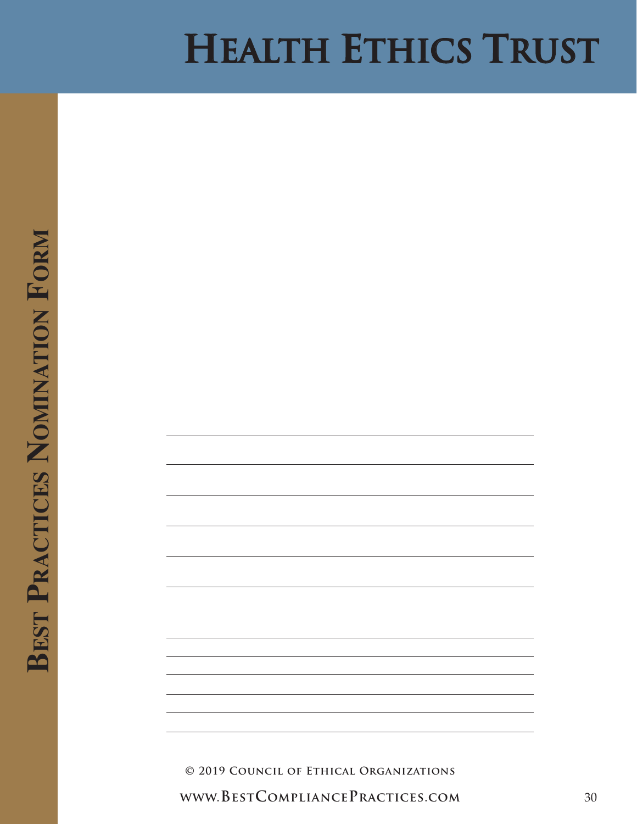**© 2019 Council of Ethical Organizations**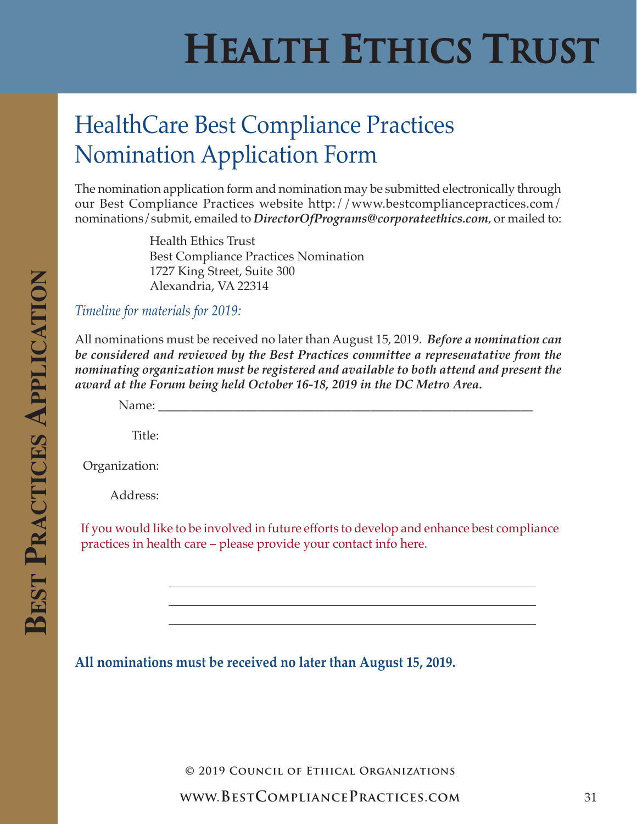### HealthCare Best Compliance Practices Nomination Application Form

The nomination application form and nomination may be submitted electronically through our Best Compliance Practices website http://www.bestcompliancepractices.com/ nominations/submit, emailed to *DirectorOfPrograms@corporateethics.com*, or mailed to:

> Health Ethics Trust Best Compliance Practices Nomination 1727 King Street, Suite 300 Alexandria, VA 22314

*Timeline for materials for 2019:*

All nominations must be received no later than August 15, 2019. *Before a nomination can be considered and reviewed by the Best Practices committee a represenatative from the nominating organization must be registered and available to both attend and present the award at the Forum being held October 16-18, 2019 in the DC Metro Area.*

Name: \_\_\_\_\_\_\_\_\_\_\_\_\_\_\_\_\_\_\_\_\_\_\_\_\_\_\_\_\_\_\_\_\_\_\_\_\_\_\_\_\_\_\_\_\_\_\_\_\_\_\_\_\_\_\_\_\_\_\_\_

Title:

Organization:

Address:

If you would like to be involved in future efforts to develop and enhance best compliance practices in health care – please provide your contact info here.

**All nominations must be received no later than August 15, 2019.**

**© 2019 Council of Ethical Organizations**